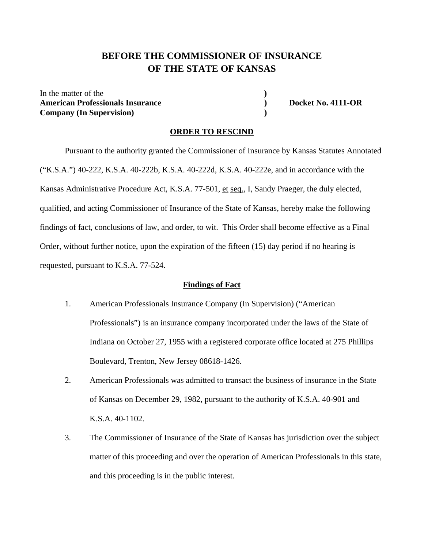# **BEFORE THE COMMISSIONER OF INSURANCE OF THE STATE OF KANSAS**

In the matter of the American Professionals Insurance **(a)** Docket No. 4111-OR **Company (In Supervision) )** 

#### **ORDER TO RESCIND**

Pursuant to the authority granted the Commissioner of Insurance by Kansas Statutes Annotated ("K.S.A.") 40-222, K.S.A. 40-222b, K.S.A. 40-222d, K.S.A. 40-222e, and in accordance with the Kansas Administrative Procedure Act, K.S.A. 77-501, et seq., I, Sandy Praeger, the duly elected, qualified, and acting Commissioner of Insurance of the State of Kansas, hereby make the following findings of fact, conclusions of law, and order, to wit. This Order shall become effective as a Final Order, without further notice, upon the expiration of the fifteen (15) day period if no hearing is requested, pursuant to K.S.A. 77-524.

#### **Findings of Fact**

- 1. American Professionals Insurance Company (In Supervision) ("American Professionals") is an insurance company incorporated under the laws of the State of Indiana on October 27, 1955 with a registered corporate office located at 275 Phillips Boulevard, Trenton, New Jersey 08618-1426.
- 2. American Professionals was admitted to transact the business of insurance in the State of Kansas on December 29, 1982, pursuant to the authority of K.S.A. 40-901 and K.S.A. 40-1102.
- 3. The Commissioner of Insurance of the State of Kansas has jurisdiction over the subject matter of this proceeding and over the operation of American Professionals in this state, and this proceeding is in the public interest.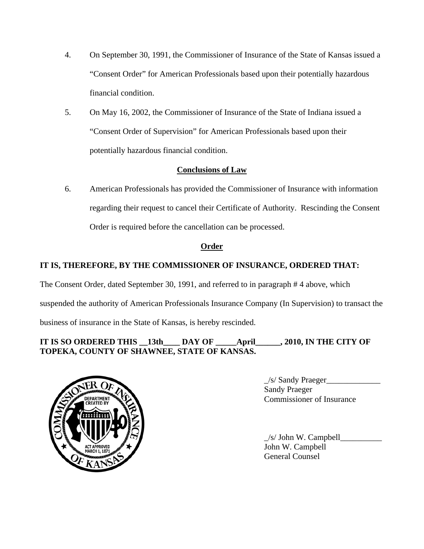- 4. On September 30, 1991, the Commissioner of Insurance of the State of Kansas issued a "Consent Order" for American Professionals based upon their potentially hazardous financial condition.
- 5. On May 16, 2002, the Commissioner of Insurance of the State of Indiana issued a "Consent Order of Supervision" for American Professionals based upon their potentially hazardous financial condition.

## **Conclusions of Law**

6. American Professionals has provided the Commissioner of Insurance with information regarding their request to cancel their Certificate of Authority. Rescinding the Consent Order is required before the cancellation can be processed.

## **Order**

# **IT IS, THEREFORE, BY THE COMMISSIONER OF INSURANCE, ORDERED THAT:**

The Consent Order, dated September 30, 1991, and referred to in paragraph # 4 above, which

suspended the authority of American Professionals Insurance Company (In Supervision) to transact the

business of insurance in the State of Kansas, is hereby rescinded.

## **IT IS SO ORDERED THIS \_\_13th\_\_\_\_ DAY OF \_\_\_\_\_April\_\_\_\_\_\_, 2010, IN THE CITY OF TOPEKA, COUNTY OF SHAWNEE, STATE OF KANSAS.**



 $\angle$ s/ Sandy Praeger $\angle$  Sandy Praeger OFPARTMENT COMMISSIONER OF Insurance

> $\angle$ s/ John W. Campbell $\angle$  John W. Campbell General Counsel